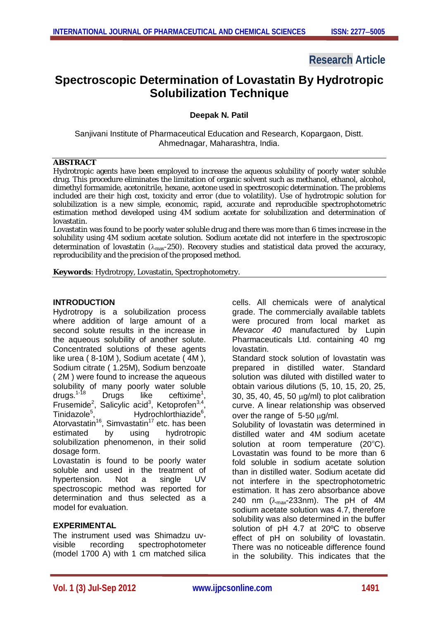## **Research Article**

# **Spectroscopic Determination of Lovastatin By Hydrotropic Solubilization Technique**

**Deepak N. Patil**

Sanjivani Institute of Pharmaceutical Education and Research, Kopargaon, Distt. Ahmednagar, Maharashtra, India.

#### **ABSTRACT**

Hydrotropic agents have been employed to increase the aqueous solubility of poorly water soluble drug. This procedure eliminates the limitation of organic solvent such as methanol, ethanol, alcohol, dimethyl formamide, acetonitrile, hexane, acetone used in spectroscopic determination. The problems included are their high cost, toxicity and error (due to volatility). Use of hydrotropic solution for solubilization is a new simple, economic, rapid, accurate and reproducible spectrophotometric estimation method developed using 4M sodium acetate for solubilization and determination of lovastatin.

Lovastatin was found to be poorly water soluble drug and there was more than 6 times increase in the solubility using 4M sodium acetate solution. Sodium acetate did not interfere in the spectroscopic determination of lovastatin ( $\lambda_{\text{max}}$ -250). Recovery studies and statistical data proved the accuracy, reproducibility and the precision of the proposed method.

**Keywords**: Hydrotropy, Lovastatin, Spectrophotometry.

#### **INTRODUCTION**

Hydrotropy is a solubilization process where addition of large amount of a second solute results in the increase in the aqueous solubility of another solute. Concentrated solutions of these agents like urea ( 8-10M ), Sodium acetate ( 4M ), Sodium citrate ( 1.25M), Sodium benzoate ( 2M ) were found to increase the aqueous solubility of many poorly water soluble<br>drugs.<sup>1-18</sup> Drugs like ceftixime<sup>1</sup>. drugs.<sup>1-18</sup> Drugs like ceftixime<sup>1</sup> ceftixime<sup>1</sup>, Frusemide<sup>2</sup>, Salicylic acid<sup>3</sup>, Ketoprofen<sup>3,4</sup>, Tinidazole<sup>5</sup>, Hydrochlorthiazide<sup>6</sup>, Atorvastatin<sup>16</sup>, Simvastatin<sup>17</sup> etc. has been estimated by using hydrotropic solubilization phenomenon, in their solid dosage form. Lovastatin is found to be poorly water soluble and used in the treatment of hypertension. Not a single UV spectroscopic method was reported for

## **EXPERIMENTAL**

model for evaluation.

The instrument used was Shimadzu uvvisible recording spectrophotometer (model 1700 A) with 1 cm matched silica

determination and thus selected as a

cells. All chemicals were of analytical grade. The commercially available tablets were procured from local market as *Mevacor 40* manufactured by Lupin Pharmaceuticals Ltd. containing 40 mg lovastatin.

Standard stock solution of lovastatin was prepared in distilled water. Standard solution was diluted with distilled water to obtain various dilutions (5, 10, 15, 20, 25, 30, 35, 40, 45, 50  $\mu$ g/ml) to plot calibration curve. A linear relationship was observed over the range of  $5-50 \mu g/ml$ .

Solubility of lovastatin was determined in distilled water and 4M sodium acetate solution at room temperature  $(20^{\circ}C)$ . Lovastatin was found to be more than 6 fold soluble in sodium acetate solution than in distilled water. Sodium acetate did not interfere in the spectrophotometric estimation. It has zero absorbance above 240 nm  $(\lambda_{\text{max}}$ -233nm). The pH of 4M sodium acetate solution was 4.7, therefore solubility was also determined in the buffer solution of pH 4.7 at 20ºC to observe effect of pH on solubility of lovastatin. There was no noticeable difference found in the solubility. This indicates that the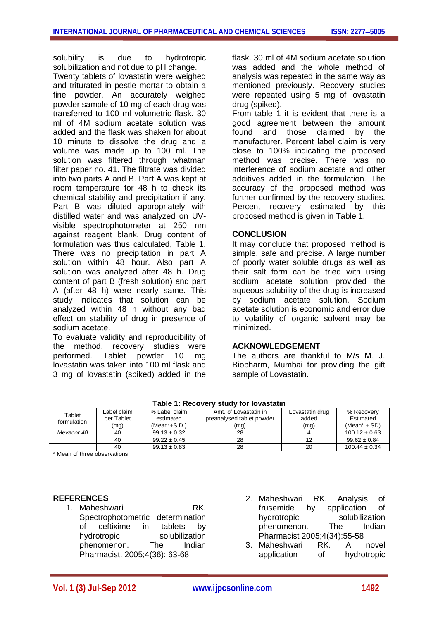solubility is due to hydrotropic solubilization and not due to pH change.

Twenty tablets of lovastatin were weighed and triturated in pestle mortar to obtain a fine powder. An accurately weighed powder sample of 10 mg of each drug was transferred to 100 ml volumetric flask. 30 ml of 4M sodium acetate solution was added and the flask was shaken for about 10 minute to dissolve the drug and a volume was made up to 100 ml. The solution was filtered through whatman filter paper no. 41. The filtrate was divided into two parts A and B. Part A was kept at room temperature for 48 h to check its chemical stability and precipitation if any. Part B was diluted appropriately with distilled water and was analyzed on UVvisible spectrophotometer at 250 nm against reagent blank. Drug content of formulation was thus calculated, Table 1. There was no precipitation in part A solution within 48 hour. Also part A solution was analyzed after 48 h. Drug content of part B (fresh solution) and part A (after 48 h) were nearly same. This study indicates that solution can be analyzed within 48 h without any bad effect on stability of drug in presence of sodium acetate.

To evaluate validity and reproducibility of the method, recovery studies were performed. Tablet powder 10 mg lovastatin was taken into 100 ml flask and 3 mg of lovastatin (spiked) added in the flask. 30 ml of 4M sodium acetate solution was added and the whole method of analysis was repeated in the same way as mentioned previously. Recovery studies were repeated using 5 mg of lovastatin drug (spiked).

From table 1 it is evident that there is a good agreement between the amount found and those claimed by the manufacturer. Percent label claim is very close to 100% indicating the proposed method was precise. There was no interference of sodium acetate and other additives added in the formulation. The accuracy of the proposed method was further confirmed by the recovery studies. Percent recovery estimated by this proposed method is given in Table 1.

#### **CONCLUSION**

It may conclude that proposed method is simple, safe and precise. A large number of poorly water soluble drugs as well as their salt form can be tried with using sodium acetate solution provided the aqueous solubility of the drug is increased by sodium acetate solution. Sodium acetate solution is economic and error due to volatility of organic solvent may be minimized.

## **ACKNOWLEDGEMENT**

The authors are thankful to M/s M. J. Biopharm, Mumbai for providing the gift sample of Lovastatin.

| 1 ANIC 1. INCCOVCIV<br>31997 IVI IUVASLAIIII |                                   |                                                     |                                                            |                                  |                                                         |
|----------------------------------------------|-----------------------------------|-----------------------------------------------------|------------------------------------------------------------|----------------------------------|---------------------------------------------------------|
| Tablet<br>formulation                        | Label claim<br>per Tablet<br>(mq) | % Label claim<br>estimated<br>(Mean $*_{\pm}$ S.D.) | Amt. of Lovastatin in<br>preanalysed tablet powder<br>(mq) | Lovastatin drug<br>added<br>(mq) | % Recovery<br>Estimated<br>(Mean <sup>*</sup> $\pm$ SD) |
| Mevacor 40                                   | 40                                | $99.13 \pm 0.32$                                    | 28                                                         |                                  | $100.12 \pm 0.63$                                       |
|                                              | 40                                | $99.22 \pm 0.45$                                    | 28                                                         |                                  | $99.62 \pm 0.84$                                        |
|                                              | 40                                | $99.13 \pm 0.83$                                    | 28                                                         | 20                               | $100.44 \pm 0.34$                                       |

\* Mean of three observations

## **REFERENCES**

- 1. Maheshwari RK. Spectrophotometric determination of ceftixime in tablets by hydrotropic solubilization<br>
phenomenon The Indian phenomenon. Pharmacist. 2005;4(36): 63-68
- 2. Maheshwari RK. Analysis of frusemide by application of hydrotropic solubilization phenomenon. The Indian **Pharmacist 2005;4(34):55-58**<br>Maheshwari RK A
- 3. Maheshwari RK A novel application of hydrotropic